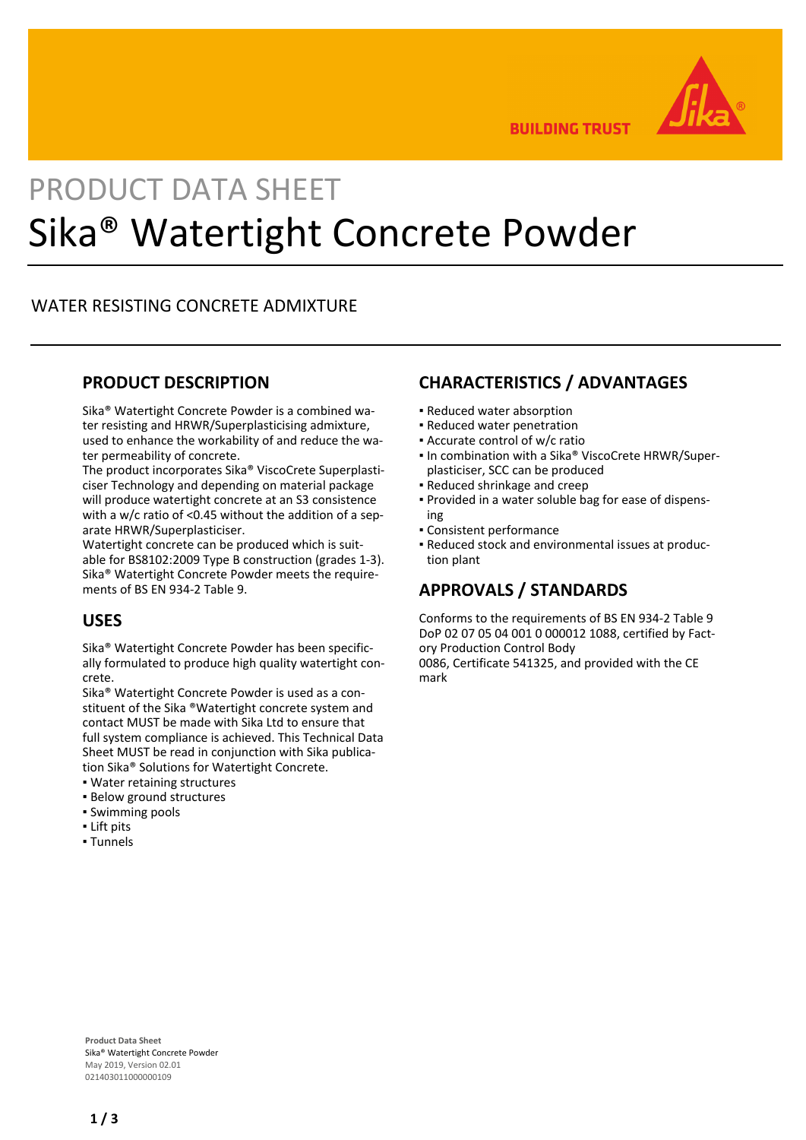

**BUILDING TRUST** 

# PRODUCT DATA SHEET Sika® Watertight Concrete Powder

#### WATER RESISTING CONCRETE ADMIXTURE

#### **PRODUCT DESCRIPTION**

Sika® Watertight Concrete Powder is a combined water resisting and HRWR/Superplasticising admixture, used to enhance the workability of and reduce the water permeability of concrete.

The product incorporates Sika® ViscoCrete Superplasticiser Technology and depending on material package will produce watertight concrete at an S3 consistence with a w/c ratio of <0.45 without the addition of a separate HRWR/Superplasticiser.

Watertight concrete can be produced which is suitable for BS8102:2009 Type B construction (grades 1-3). Sika® Watertight Concrete Powder meets the requirements of BS EN 934-2 Table 9.

# **USES**

Sika® Watertight Concrete Powder has been specifically formulated to produce high quality watertight concrete.

Sika® Watertight Concrete Powder is used as a constituent of the Sika ®Watertight concrete system and contact MUST be made with Sika Ltd to ensure that full system compliance is achieved. This Technical Data Sheet MUST be read in conjunction with Sika publication Sika® Solutions for Watertight Concrete.

- Water retaining structures
- **· Below ground structures**
- Swimming pools
- Lift pits
- Tunnels

# **CHARACTERISTICS / ADVANTAGES**

- Reduced water absorption
- Reduced water penetration
- Accurate control of w/c ratio
- In combination with a Sika® ViscoCrete HRWR/Superplasticiser, SCC can be produced
- Reduced shrinkage and creep
- Provided in a water soluble bag for ease of dispens-▪ ing
- Consistent performance
- Reduced stock and environmental issues at produc-▪ tion plant

# **APPROVALS / STANDARDS**

Conforms to the requirements of BS EN 934-2 Table 9 DoP 02 07 05 04 001 0 000012 1088, certified by Factory Production Control Body

0086, Certificate 541325, and provided with the CE mark

**Product Data Sheet** Sika® Watertight Concrete Powder May 2019, Version 02.01 021403011000000109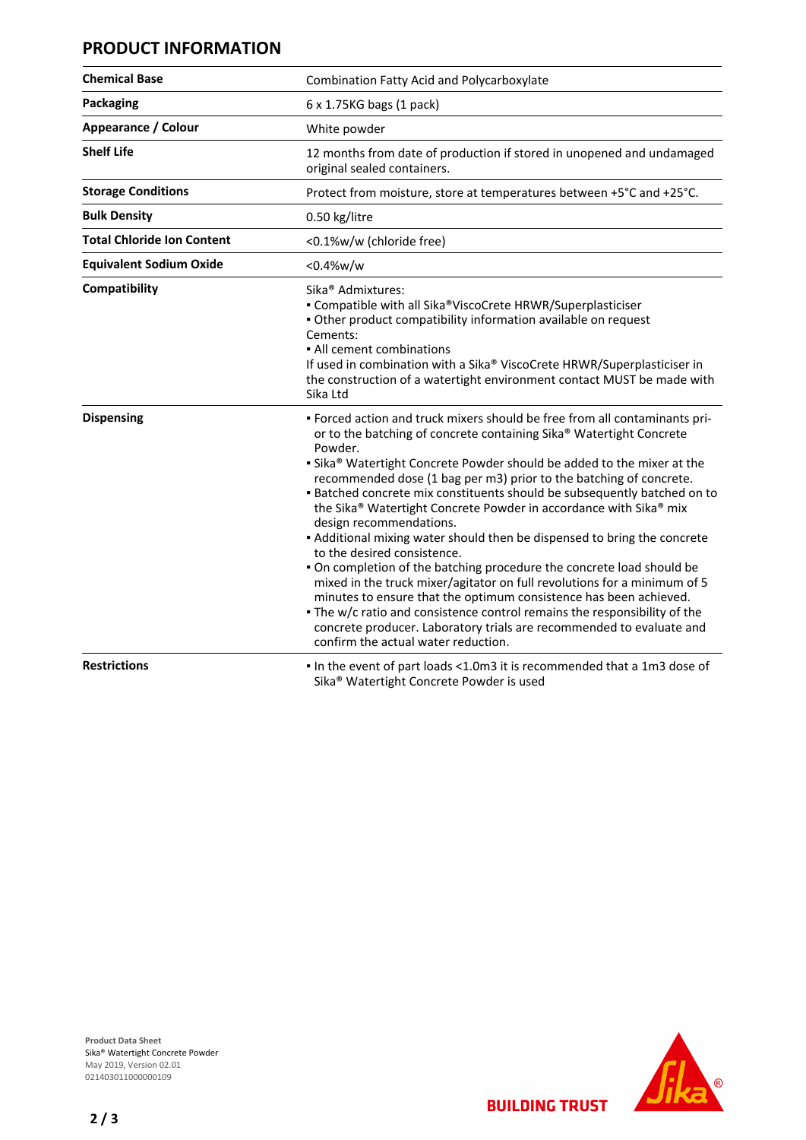# **PRODUCT INFORMATION**

| <b>Chemical Base</b>              | Combination Fatty Acid and Polycarboxylate                                                                                                                                                                                                                                                                                                                                                                                                                                                                                                                                                                                                                                                                                                                                                                                                                                                                                                                                                                                |
|-----------------------------------|---------------------------------------------------------------------------------------------------------------------------------------------------------------------------------------------------------------------------------------------------------------------------------------------------------------------------------------------------------------------------------------------------------------------------------------------------------------------------------------------------------------------------------------------------------------------------------------------------------------------------------------------------------------------------------------------------------------------------------------------------------------------------------------------------------------------------------------------------------------------------------------------------------------------------------------------------------------------------------------------------------------------------|
| <b>Packaging</b>                  | 6 x 1.75KG bags (1 pack)                                                                                                                                                                                                                                                                                                                                                                                                                                                                                                                                                                                                                                                                                                                                                                                                                                                                                                                                                                                                  |
| Appearance / Colour               | White powder                                                                                                                                                                                                                                                                                                                                                                                                                                                                                                                                                                                                                                                                                                                                                                                                                                                                                                                                                                                                              |
| <b>Shelf Life</b>                 | 12 months from date of production if stored in unopened and undamaged<br>original sealed containers.                                                                                                                                                                                                                                                                                                                                                                                                                                                                                                                                                                                                                                                                                                                                                                                                                                                                                                                      |
| <b>Storage Conditions</b>         | Protect from moisture, store at temperatures between +5°C and +25°C.                                                                                                                                                                                                                                                                                                                                                                                                                                                                                                                                                                                                                                                                                                                                                                                                                                                                                                                                                      |
| <b>Bulk Density</b>               | 0.50 kg/litre                                                                                                                                                                                                                                                                                                                                                                                                                                                                                                                                                                                                                                                                                                                                                                                                                                                                                                                                                                                                             |
| <b>Total Chloride Ion Content</b> | <0.1%w/w (chloride free)                                                                                                                                                                                                                                                                                                                                                                                                                                                                                                                                                                                                                                                                                                                                                                                                                                                                                                                                                                                                  |
| <b>Equivalent Sodium Oxide</b>    | < 0.4% w/w                                                                                                                                                                                                                                                                                                                                                                                                                                                                                                                                                                                                                                                                                                                                                                                                                                                                                                                                                                                                                |
| Compatibility                     | Sika <sup>®</sup> Admixtures:<br>• Compatible with all Sika®ViscoCrete HRWR/Superplasticiser<br>. Other product compatibility information available on request<br>Cements:<br>• All cement combinations<br>If used in combination with a Sika® ViscoCrete HRWR/Superplasticiser in<br>the construction of a watertight environment contact MUST be made with<br>Sika Ltd                                                                                                                                                                                                                                                                                                                                                                                                                                                                                                                                                                                                                                                  |
| <b>Dispensing</b>                 | . Forced action and truck mixers should be free from all contaminants pri-<br>or to the batching of concrete containing Sika® Watertight Concrete<br>Powder.<br>• Sika® Watertight Concrete Powder should be added to the mixer at the<br>recommended dose (1 bag per m3) prior to the batching of concrete.<br>. Batched concrete mix constituents should be subsequently batched on to<br>the Sika® Watertight Concrete Powder in accordance with Sika® mix<br>design recommendations.<br>• Additional mixing water should then be dispensed to bring the concrete<br>to the desired consistence.<br>. On completion of the batching procedure the concrete load should be<br>mixed in the truck mixer/agitator on full revolutions for a minimum of 5<br>minutes to ensure that the optimum consistence has been achieved.<br>. The w/c ratio and consistence control remains the responsibility of the<br>concrete producer. Laboratory trials are recommended to evaluate and<br>confirm the actual water reduction. |
| <b>Restrictions</b>               | In the event of part loads <1.0m3 it is recommended that a 1m3 dose of<br>Sika <sup>®</sup> Watertight Concrete Powder is used                                                                                                                                                                                                                                                                                                                                                                                                                                                                                                                                                                                                                                                                                                                                                                                                                                                                                            |



**BUILDING TRUST** 

**2 / 3**